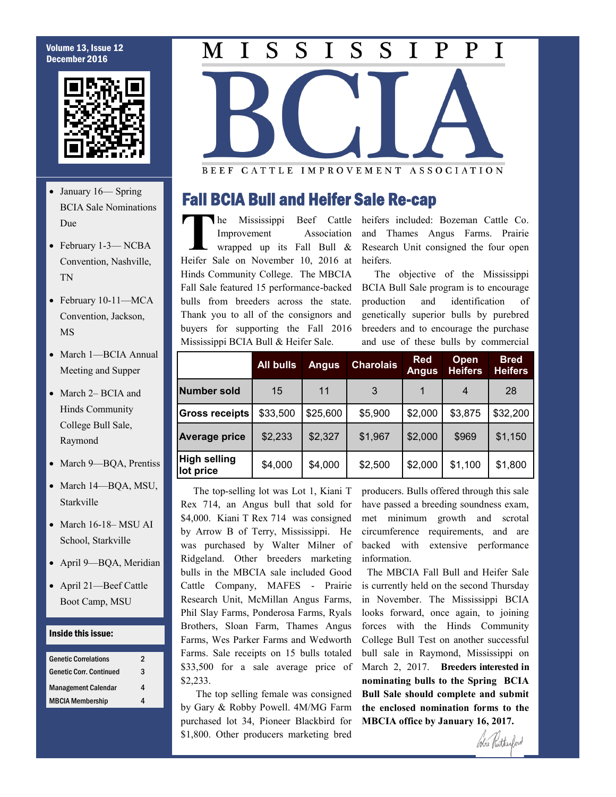#### Volume 13, Issue 12 December 2016



- January 16— Spring BCIA Sale Nominations Due
- February 1-3-NCBA Convention, Nashville, TN
- February 10-11—MCA Convention, Jackson, MS
- March 1-BCIA Annual Meeting and Supper
- March 2– BCIA and Hinds Community College Bull Sale, Raymond
- March 9-BQA, Prentiss
- March 14-BQA, MSU, Starkville
- March 16-18– MSU AI School, Starkville
- April 9—BQA, Meridian
- April 21—Beef Cattle Boot Camp, MSU

#### Inside this issue:

| <b>Genetic Correlations</b>    | 2 |
|--------------------------------|---|
| <b>Genetic Corr. Continued</b> | 3 |
| <b>Management Calendar</b>     | 4 |
| <b>MBCIA Membership</b>        | 4 |

#### $\overline{S}$  $\overline{S}$ S S  ${\bf P}$  $\mathbf P$  $\mathbf I$ T  $\mathbf I$ M T

BEEF CATTLE IMPROVEMENT ASSOCIATION

### Fall BCIA Bull and Heifer Sale Re-cap

**The Mississippi Beef Cattle Improvement Association wrapped up its Fall Bull & Heifer Sale on November 10, 2016 at**  $he$  Mississippi Improvement Association wrapped up its Fall Bull & Hinds Community College. The MBCIA Fall Sale featured 15 performance-backed bulls from breeders across the state. Thank you to all of the consignors and buyers for supporting the Fall 2016 Mississippi BCIA Bull & Heifer Sale.

Beef Cattle heifers included: Bozeman Cattle Co. and Thames Angus Farms. Prairie Research Unit consigned the four open heifers.

> The objective of the Mississippi BCIA Bull Sale program is to encourage production and identification of genetically superior bulls by purebred breeders and to encourage the purchase and use of these bulls by commercial

|                                  | <b>All bulls</b> | <b>Angus</b> | <b>Charolais</b> | <b>Red</b><br><b>Angus</b> | <b>Open</b><br><b>Heifers</b> | <b>Bred</b><br><b>Heifers</b> |
|----------------------------------|------------------|--------------|------------------|----------------------------|-------------------------------|-------------------------------|
| Number sold                      | 15               | 11           | 3                |                            | $\overline{4}$                | 28                            |
| <b>Gross receipts</b>            | \$33,500         | \$25,600     | \$5,900          | \$2,000                    | \$3,875                       | \$32,200                      |
| Average price                    | \$2,233          | \$2,327      | \$1,967          | \$2,000                    | \$969                         | \$1,150                       |
| <b>High selling</b><br>lot price | \$4,000          | \$4,000      | \$2,500          | \$2,000                    | \$1,100                       | \$1,800                       |

 The top-selling lot was Lot 1, Kiani T Rex 714, an Angus bull that sold for \$4,000. Kiani T Rex 714 was consigned by Arrow B of Terry, Mississippi. He was purchased by Walter Milner of Ridgeland. Other breeders marketing bulls in the MBCIA sale included Good Cattle Company, MAFES - Prairie Research Unit, McMillan Angus Farms, Phil Slay Farms, Ponderosa Farms, Ryals Brothers, Sloan Farm, Thames Angus Farms, Wes Parker Farms and Wedworth Farms. Sale receipts on 15 bulls totaled \$33,500 for a sale average price of \$2,233.

 The top selling female was consigned by Gary & Robby Powell. 4M/MG Farm purchased lot 34, Pioneer Blackbird for \$1,800. Other producers marketing bred

producers. Bulls offered through this sale have passed a breeding soundness exam, met minimum growth and scrotal circumference requirements, and are backed with extensive performance information.

 The MBCIA Fall Bull and Heifer Sale is currently held on the second Thursday in November. The Mississippi BCIA looks forward, once again, to joining forces with the Hinds Community College Bull Test on another successful bull sale in Raymond, Mississippi on March 2, 2017. **Breeders interested in nominating bulls to the Spring BCIA Bull Sale should complete and submit the enclosed nomination forms to the MBCIA office by January 16, 2017.** 

Cobie Putherford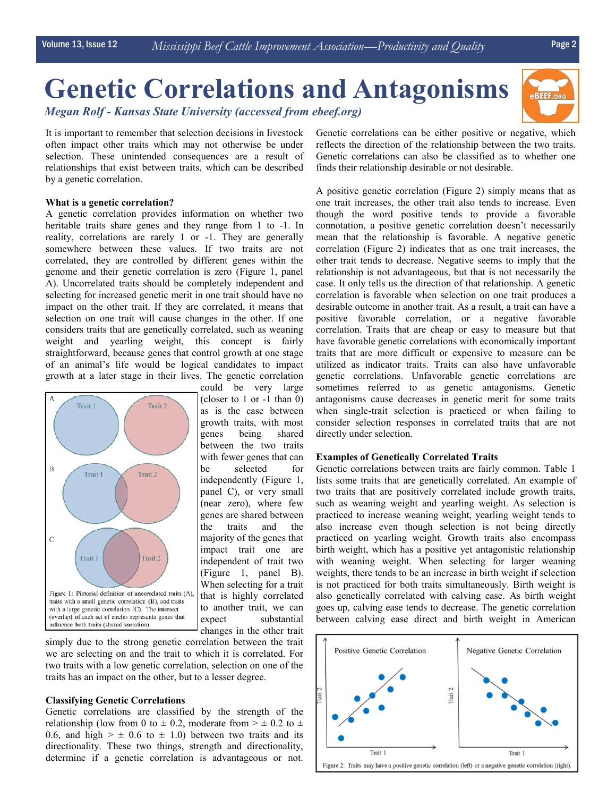# **Genetic Correlations and Antagonisms**  *Megan Rolf - Kansas State University (accessed from ebeef.org)*

It is important to remember that selection decisions in livestock often impact other traits which may not otherwise be under selection. These unintended consequences are a result of relationships that exist between traits, which can be described by a genetic correlation.

#### **What is a genetic correlation?**

A genetic correlation provides information on whether two heritable traits share genes and they range from 1 to -1. In reality, correlations are rarely 1 or -1. They are generally somewhere between these values. If two traits are not correlated, they are controlled by different genes within the genome and their genetic correlation is zero (Figure 1, panel A). Uncorrelated traits should be completely independent and selecting for increased genetic merit in one trait should have no impact on the other trait. If they are correlated, it means that selection on one trait will cause changes in the other. If one considers traits that are genetically correlated, such as weaning weight and yearling weight, this concept is fairly straightforward, because genes that control growth at one stage of an animal's life would be logical candidates to impact growth at a later stage in their lives. The genetic correlation



could be very large (closer to 1 or -1 than 0) as is the case between growth traits, with most genes being shared between the two traits with fewer genes that can be selected for independently (Figure 1, panel C), or very small (near zero), where few genes are shared between the traits and the majority of the genes that impact trait one are independent of trait two (Figure 1, panel B). When selecting for a trait that is highly correlated to another trait, we can expect substantial changes in the other trait

simply due to the strong genetic correlation between the trait we are selecting on and the trait to which it is correlated. For two traits with a low genetic correlation, selection on one of the traits has an impact on the other, but to a lesser degree.

#### **Classifying Genetic Correlations**

Genetic correlations are classified by the strength of the relationship (low from 0 to  $\pm$  0.2, moderate from  $> \pm$  0.2 to  $\pm$ 0.6, and high  $> \pm$  0.6 to  $\pm$  1.0) between two traits and its directionality. These two things, strength and directionality, determine if a genetic correlation is advantageous or not. Genetic correlations can be either positive or negative, which reflects the direction of the relationship between the two traits. Genetic correlations can also be classified as to whether one finds their relationship desirable or not desirable.

A positive genetic correlation (Figure 2) simply means that as one trait increases, the other trait also tends to increase. Even though the word positive tends to provide a favorable connotation, a positive genetic correlation doesn't necessarily mean that the relationship is favorable. A negative genetic correlation (Figure 2) indicates that as one trait increases, the other trait tends to decrease. Negative seems to imply that the relationship is not advantageous, but that is not necessarily the case. It only tells us the direction of that relationship. A genetic correlation is favorable when selection on one trait produces a desirable outcome in another trait. As a result, a trait can have a positive favorable correlation, or a negative favorable correlation. Traits that are cheap or easy to measure but that have favorable genetic correlations with economically important traits that are more difficult or expensive to measure can be utilized as indicator traits. Traits can also have unfavorable genetic correlations. Unfavorable genetic correlations are sometimes referred to as genetic antagonisms. Genetic antagonisms cause decreases in genetic merit for some traits when single-trait selection is practiced or when failing to consider selection responses in correlated traits that are not directly under selection.

#### **Examples of Genetically Correlated Traits**

Genetic correlations between traits are fairly common. Table 1 lists some traits that are genetically correlated. An example of two traits that are positively correlated include growth traits, such as weaning weight and yearling weight. As selection is practiced to increase weaning weight, yearling weight tends to also increase even though selection is not being directly practiced on yearling weight. Growth traits also encompass birth weight, which has a positive yet antagonistic relationship with weaning weight. When selecting for larger weaning weights, there tends to be an increase in birth weight if selection is not practiced for both traits simultaneously. Birth weight is also genetically correlated with calving ease. As birth weight goes up, calving ease tends to decrease. The genetic correlation between calving ease direct and birth weight in American

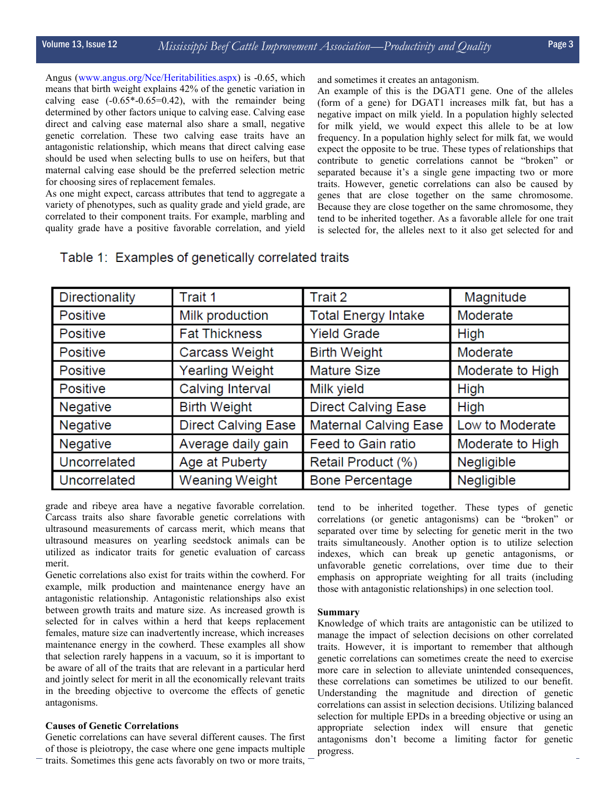Angus (www.angus.org/Nce/Heritabilities.aspx) is -0.65, which means that birth weight explains 42% of the genetic variation in calving ease  $(-0.65*-0.65=0.42)$ , with the remainder being determined by other factors unique to calving ease. Calving ease direct and calving ease maternal also share a small, negative genetic correlation. These two calving ease traits have an antagonistic relationship, which means that direct calving ease should be used when selecting bulls to use on heifers, but that maternal calving ease should be the preferred selection metric for choosing sires of replacement females.

As one might expect, carcass attributes that tend to aggregate a variety of phenotypes, such as quality grade and yield grade, are correlated to their component traits. For example, marbling and quality grade have a positive favorable correlation, and yield and sometimes it creates an antagonism.

An example of this is the DGAT1 gene. One of the alleles (form of a gene) for DGAT1 increases milk fat, but has a negative impact on milk yield. In a population highly selected for milk yield, we would expect this allele to be at low frequency. In a population highly select for milk fat, we would expect the opposite to be true. These types of relationships that contribute to genetic correlations cannot be "broken" or separated because it's a single gene impacting two or more traits. However, genetic correlations can also be caused by genes that are close together on the same chromosome. Because they are close together on the same chromosome, they tend to be inherited together. As a favorable allele for one trait is selected for, the alleles next to it also get selected for and

| Directionality  | Trait 1                    | Trait 2                      | Magnitude        |  |
|-----------------|----------------------------|------------------------------|------------------|--|
| <b>Positive</b> | Milk production            | <b>Total Energy Intake</b>   | Moderate         |  |
| <b>Positive</b> | <b>Fat Thickness</b>       | <b>Yield Grade</b>           | High             |  |
| Positive        | Carcass Weight             | <b>Birth Weight</b>          | Moderate         |  |
| Positive        | Yearling Weight            | <b>Mature Size</b>           | Moderate to High |  |
| Positive        | Calving Interval           | Milk yield                   | <b>High</b>      |  |
| <b>Negative</b> | <b>Birth Weight</b>        | <b>Direct Calving Ease</b>   | <b>High</b>      |  |
| Negative        | <b>Direct Calving Ease</b> | <b>Maternal Calving Ease</b> | Low to Moderate  |  |
| <b>Negative</b> | Average daily gain         | Feed to Gain ratio           | Moderate to High |  |
| Uncorrelated    | Age at Puberty             | Retail Product (%)           | Negligible       |  |
| Uncorrelated    | <b>Weaning Weight</b>      | <b>Bone Percentage</b>       | Negligible       |  |

### Table 1: Examples of genetically correlated traits

grade and ribeye area have a negative favorable correlation. Carcass traits also share favorable genetic correlations with ultrasound measurements of carcass merit, which means that ultrasound measures on yearling seedstock animals can be utilized as indicator traits for genetic evaluation of carcass merit.

Genetic correlations also exist for traits within the cowherd. For example, milk production and maintenance energy have an antagonistic relationship. Antagonistic relationships also exist between growth traits and mature size. As increased growth is selected for in calves within a herd that keeps replacement females, mature size can inadvertently increase, which increases maintenance energy in the cowherd. These examples all show that selection rarely happens in a vacuum, so it is important to be aware of all of the traits that are relevant in a particular herd and jointly select for merit in all the economically relevant traits in the breeding objective to overcome the effects of genetic antagonisms.

#### **Causes of Genetic Correlations**

Genetic correlations can have several different causes. The first of those is pleiotropy, the case where one gene impacts multiple traits. Sometimes this gene acts favorably on two or more traits,

tend to be inherited together. These types of genetic correlations (or genetic antagonisms) can be "broken" or separated over time by selecting for genetic merit in the two traits simultaneously. Another option is to utilize selection indexes, which can break up genetic antagonisms, or unfavorable genetic correlations, over time due to their emphasis on appropriate weighting for all traits (including those with antagonistic relationships) in one selection tool.

#### **Summary**

Knowledge of which traits are antagonistic can be utilized to manage the impact of selection decisions on other correlated traits. However, it is important to remember that although genetic correlations can sometimes create the need to exercise more care in selection to alleviate unintended consequences, these correlations can sometimes be utilized to our benefit. Understanding the magnitude and direction of genetic correlations can assist in selection decisions. Utilizing balanced selection for multiple EPDs in a breeding objective or using an appropriate selection index will ensure that genetic antagonisms don't become a limiting factor for genetic progress.